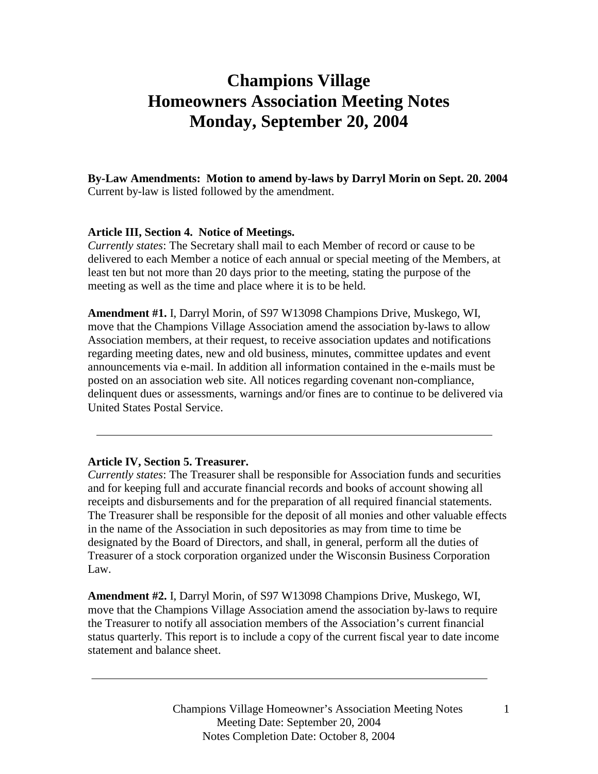# **Champions Village Homeowners Association Meeting Notes Monday, September 20, 2004**

**By-Law Amendments: Motion to amend by-laws by Darryl Morin on Sept. 20. 2004**  Current by-law is listed followed by the amendment.

## **Article III, Section 4. Notice of Meetings.**

*Currently states*: The Secretary shall mail to each Member of record or cause to be delivered to each Member a notice of each annual or special meeting of the Members, at least ten but not more than 20 days prior to the meeting, stating the purpose of the meeting as well as the time and place where it is to be held.

**Amendment #1.** I, Darryl Morin, of S97 W13098 Champions Drive, Muskego, WI, move that the Champions Village Association amend the association by-laws to allow Association members, at their request, to receive association updates and notifications regarding meeting dates, new and old business, minutes, committee updates and event announcements via e-mail. In addition all information contained in the e-mails must be posted on an association web site. All notices regarding covenant non-compliance, delinquent dues or assessments, warnings and/or fines are to continue to be delivered via United States Postal Service.

#### **Article IV, Section 5. Treasurer.**

*Currently states*: The Treasurer shall be responsible for Association funds and securities and for keeping full and accurate financial records and books of account showing all receipts and disbursements and for the preparation of all required financial statements. The Treasurer shall be responsible for the deposit of all monies and other valuable effects in the name of the Association in such depositories as may from time to time be designated by the Board of Directors, and shall, in general, perform all the duties of Treasurer of a stock corporation organized under the Wisconsin Business Corporation Law.

**Amendment #2.** I, Darryl Morin, of S97 W13098 Champions Drive, Muskego, WI, move that the Champions Village Association amend the association by-laws to require the Treasurer to notify all association members of the Association's current financial status quarterly. This report is to include a copy of the current fiscal year to date income statement and balance sheet.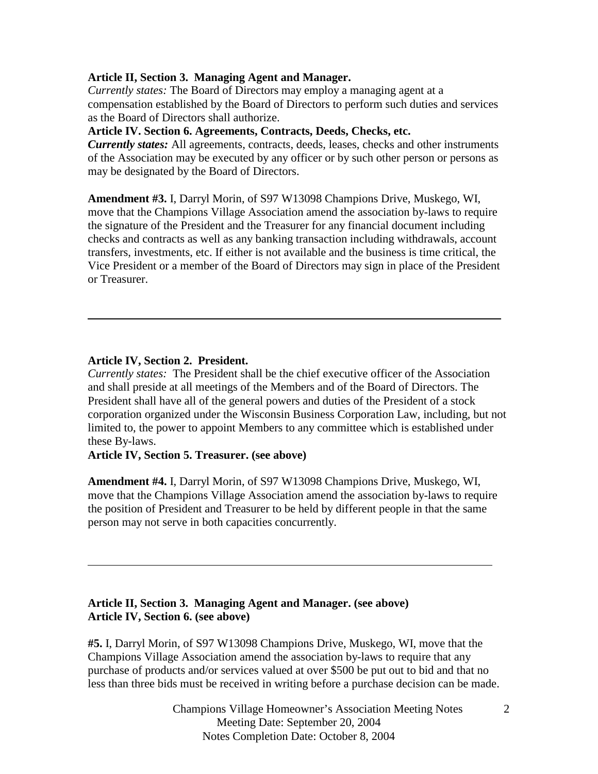## **Article II, Section 3. Managing Agent and Manager.**

*Currently states:* The Board of Directors may employ a managing agent at a compensation established by the Board of Directors to perform such duties and services as the Board of Directors shall authorize.

# **Article IV. Section 6. Agreements, Contracts, Deeds, Checks, etc.**

*Currently states:* All agreements, contracts, deeds, leases, checks and other instruments of the Association may be executed by any officer or by such other person or persons as may be designated by the Board of Directors.

**Amendment #3.** I, Darryl Morin, of S97 W13098 Champions Drive, Muskego, WI, move that the Champions Village Association amend the association by-laws to require the signature of the President and the Treasurer for any financial document including checks and contracts as well as any banking transaction including withdrawals, account transfers, investments, etc. If either is not available and the business is time critical, the Vice President or a member of the Board of Directors may sign in place of the President or Treasurer.

## **Article IV, Section 2. President.**

*Currently states:* The President shall be the chief executive officer of the Association and shall preside at all meetings of the Members and of the Board of Directors. The President shall have all of the general powers and duties of the President of a stock corporation organized under the Wisconsin Business Corporation Law, including, but not limited to, the power to appoint Members to any committee which is established under these By-laws.

## **Article IV, Section 5. Treasurer. (see above)**

**Amendment #4.** I, Darryl Morin, of S97 W13098 Champions Drive, Muskego, WI, move that the Champions Village Association amend the association by-laws to require the position of President and Treasurer to be held by different people in that the same person may not serve in both capacities concurrently.

## **Article II, Section 3. Managing Agent and Manager. (see above) Article IV, Section 6. (see above)**

**#5.** I, Darryl Morin, of S97 W13098 Champions Drive, Muskego, WI, move that the Champions Village Association amend the association by-laws to require that any purchase of products and/or services valued at over \$500 be put out to bid and that no less than three bids must be received in writing before a purchase decision can be made.

> Champions Village Homeowner's Association Meeting Notes 2 Meeting Date: September 20, 2004 Notes Completion Date: October 8, 2004